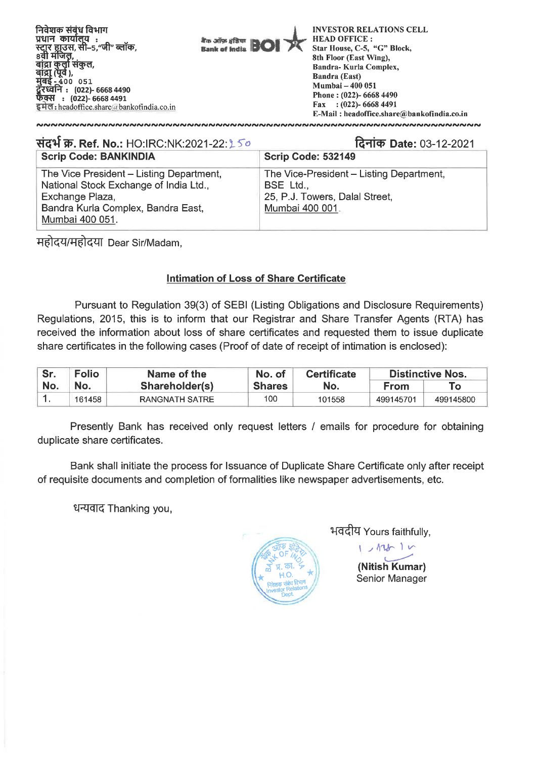

| संदर्भ क्र. Ref. No.: HO:IRC:NK:2021-22: 150                                                                                                                   | दिनांक Date: 03-12-2021                                                                                    |  |  |  |  |
|----------------------------------------------------------------------------------------------------------------------------------------------------------------|------------------------------------------------------------------------------------------------------------|--|--|--|--|
| <b>Scrip Code: BANKINDIA</b>                                                                                                                                   | <b>Scrip Code: 532149</b>                                                                                  |  |  |  |  |
| The Vice President - Listing Department,<br>National Stock Exchange of India Ltd.,<br>Exchange Plaza,<br>Bandra Kurla Complex, Bandra East,<br>Mumbai 400 051. | The Vice-President - Listing Department,<br>BSE Ltd.,<br>25, P.J. Towers, Dalal Street,<br>Mumbai 400 001. |  |  |  |  |

महोदय/महोदया Dear Sir/Madam,

## **Intimation of Loss of Share Certificate**

**Pursuant to Regulation 39(3) of SEBI (Listing Obligations and Disclosure Requirements) Regulations, 2015, this is to inform that our Registrar and Share Transfer Agents (RTA) has received the information about loss of share certificates and requested them to issue duplicate share certificates in the following cases (Proof of date of receipt of intimation is enclosed):** 

| Sr. | <b>Folio</b> | Name of the    | No. of        | <b>Certificate</b> | <b>Distinctive Nos.</b> |           |  |
|-----|--------------|----------------|---------------|--------------------|-------------------------|-----------|--|
| No. | No.          | Shareholder(s) | <b>Shares</b> | No.                | <b>From</b>             | То        |  |
|     | 161458       | RANGNATH SATRE | 100           | 101558             | 499145701               | 499145800 |  |

**Presently Bank has received only request letters / emails for procedure for obtaining duplicate share certificates.** 

**Bank shall initiate the process for Issuance of Duplicate Share Certificate only after receipt of requisite documents and completion of formalities like newspaper advertisements, etc.** 

**ti-- 1-4T& Thanking you,** 



भवदीय Yours faithfully, 'ours faithfu<br><sub>ノ</sub> イア<u>メ</u>⌒ <sup>1</sup> | ∕

> **(Nitish Kumar)**  Senior Manager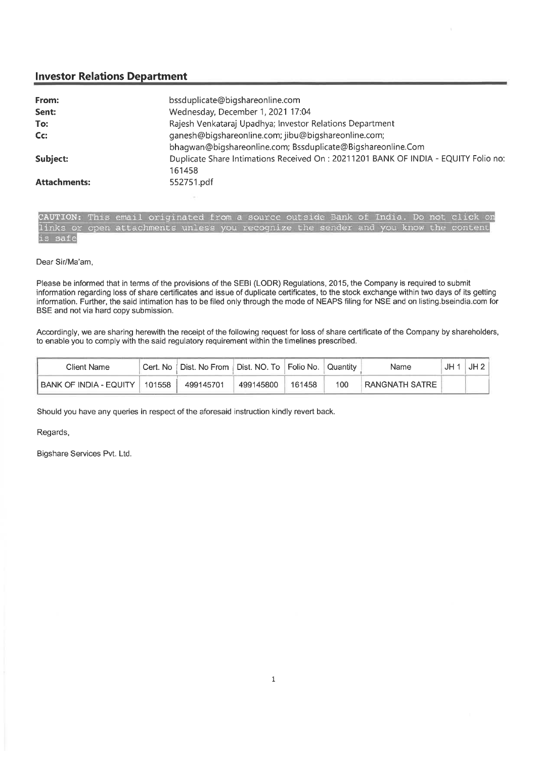## **Investor Relations Department**

| bssduplicate@bigshareonline.com                                                    |
|------------------------------------------------------------------------------------|
| Wednesday, December 1, 2021 17:04                                                  |
| Rajesh Venkataraj Upadhya; Investor Relations Department                           |
| ganesh@bigshareonline.com; jibu@bigshareonline.com;                                |
| bhaqwan@biqshareonline.com; Bssduplicate@Biqshareonline.Com                        |
| Duplicate Share Intimations Received On: 20211201 BANK OF INDIA - EQUITY Folio no: |
| 161458                                                                             |
| 552751.pdf                                                                         |
|                                                                                    |

CAUTION: This email originated from a source outside Bank of India. Do not click on links or open attachments unless you recognize the sender and you know the content is safe

## Dear Sir/Ma'am,

Please be informed that in terms of the provisions of the SEBI (LODR) Regulations, 2015, the Company is required to submit information regarding loss of share certificates and issue of duplicate certificates, to the stock exchange within two days of its getting information. Further, the said intimation has to be filed only through the mode of NEAPS filing for NSE and on listing bseindia.com for BSE and not via hard copy submission.

Accordingly, we are sharing herewith the receipt of the following request for loss of share certificate of the Company by shareholders, to enable you to comply with the said regulatory requirement within the timelines prescribed.

| Client Name            |        | Cert. No   Dist. No From   Dist. NO. To   Folio No.   Quantity |           |        |     | Name           | JH · | JH2 |
|------------------------|--------|----------------------------------------------------------------|-----------|--------|-----|----------------|------|-----|
| BANK OF INDIA - EQUITY | 101558 | 499145701                                                      | 499145800 | 161458 | 100 | RANGNATH SATRE |      |     |

Should you have any queries in respect of the aforesaid instruction kindly revert back.

Regards,

Bigshare Services Pvt. Ltd.